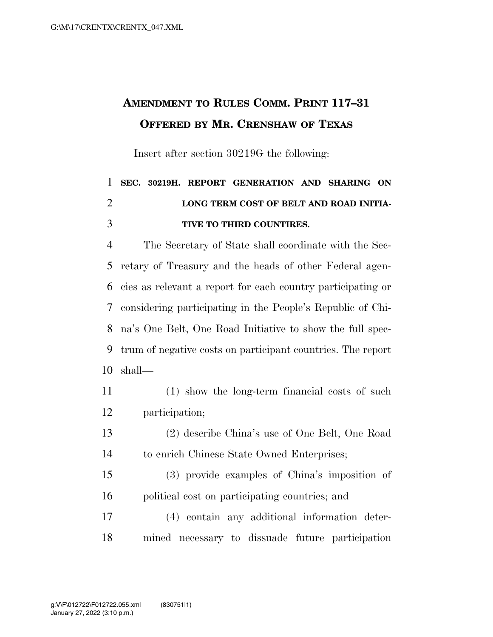## **AMENDMENT TO RULES COMM. PRINT 117–31 OFFERED BY MR. CRENSHAW OF TEXAS**

Insert after section 30219G the following:

## **SEC. 30219H. REPORT GENERATION AND SHARING ON LONG TERM COST OF BELT AND ROAD INITIA-TIVE TO THIRD COUNTIRES.**

 The Secretary of State shall coordinate with the Sec- retary of Treasury and the heads of other Federal agen- cies as relevant a report for each country participating or considering participating in the People's Republic of Chi- na's One Belt, One Road Initiative to show the full spec- trum of negative costs on participant countries. The report shall—

- (1) show the long-term financial costs of such participation;
- (2) describe China's use of One Belt, One Road to enrich Chinese State Owned Enterprises;
- (3) provide examples of China's imposition of political cost on participating countries; and
- (4) contain any additional information deter-mined necessary to dissuade future participation